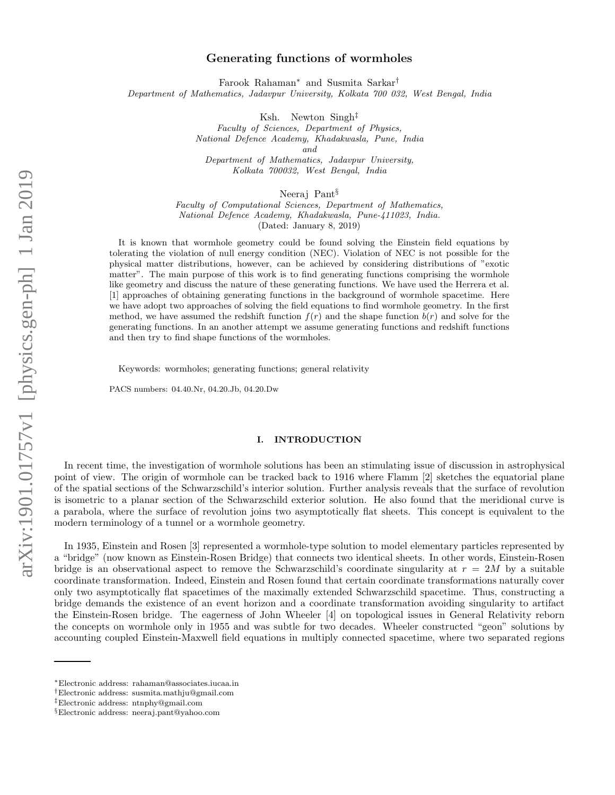# Generating functions of wormholes

Farook Rahaman<sup>∗</sup> and Susmita Sarkar†

*Department of Mathematics, Jadavpur University, Kolkata 700 032, West Bengal, India*

Ksh. Newton Singh‡

*Faculty of Sciences, Department of Physics, National Defence Academy, Khadakwasla, Pune, India and Department of Mathematics, Jadavpur University, Kolkata 700032, West Bengal, India*

Neeraj Pant§

*Faculty of Computational Sciences, Department of Mathematics, National Defence Academy, Khadakwasla, Pune-411023, India.* (Dated: January 8, 2019)

It is known that wormhole geometry could be found solving the Einstein field equations by tolerating the violation of null energy condition (NEC). Violation of NEC is not possible for the physical matter distributions, however, can be achieved by considering distributions of "exotic matter". The main purpose of this work is to find generating functions comprising the wormhole like geometry and discuss the nature of these generating functions. We have used the Herrera et al. [1] approaches of obtaining generating functions in the background of wormhole spacetime. Here we have adopt two approaches of solving the field equations to find wormhole geometry. In the first method, we have assumed the redshift function  $f(r)$  and the shape function  $b(r)$  and solve for the generating functions. In an another attempt we assume generating functions and redshift functions and then try to find shape functions of the wormholes.

Keywords: wormholes; generating functions; general relativity

PACS numbers: 04.40.Nr, 04.20.Jb, 04.20.Dw

#### I. INTRODUCTION

In recent time, the investigation of wormhole solutions has been an stimulating issue of discussion in astrophysical point of view. The origin of wormhole can be tracked back to 1916 where Flamm [2] sketches the equatorial plane of the spatial sections of the Schwarzschild's interior solution. Further analysis reveals that the surface of revolution is isometric to a planar section of the Schwarzschild exterior solution. He also found that the meridional curve is a parabola, where the surface of revolution joins two asymptotically flat sheets. This concept is equivalent to the modern terminology of a tunnel or a wormhole geometry.

In 1935, Einstein and Rosen [3] represented a wormhole-type solution to model elementary particles represented by a "bridge" (now known as Einstein-Rosen Bridge) that connects two identical sheets. In other words, Einstein-Rosen bridge is an observational aspect to remove the Schwarzschild's coordinate singularity at  $r = 2M$  by a suitable coordinate transformation. Indeed, Einstein and Rosen found that certain coordinate transformations naturally cover only two asymptotically flat spacetimes of the maximally extended Schwarzschild spacetime. Thus, constructing a bridge demands the existence of an event horizon and a coordinate transformation avoiding singularity to artifact the Einstein-Rosen bridge. The eagerness of John Wheeler [4] on topological issues in General Relativity reborn the concepts on wormhole only in 1955 and was subtle for two decades. Wheeler constructed "geon" solutions by accounting coupled Einstein-Maxwell field equations in multiply connected spacetime, where two separated regions

<sup>∗</sup>Electronic address: rahaman@associates.iucaa.in

<sup>†</sup>Electronic address: susmita.mathju@gmail.com

<sup>‡</sup>Electronic address: ntnphy@gmail.com

<sup>§</sup>Electronic address: neeraj.pant@yahoo.com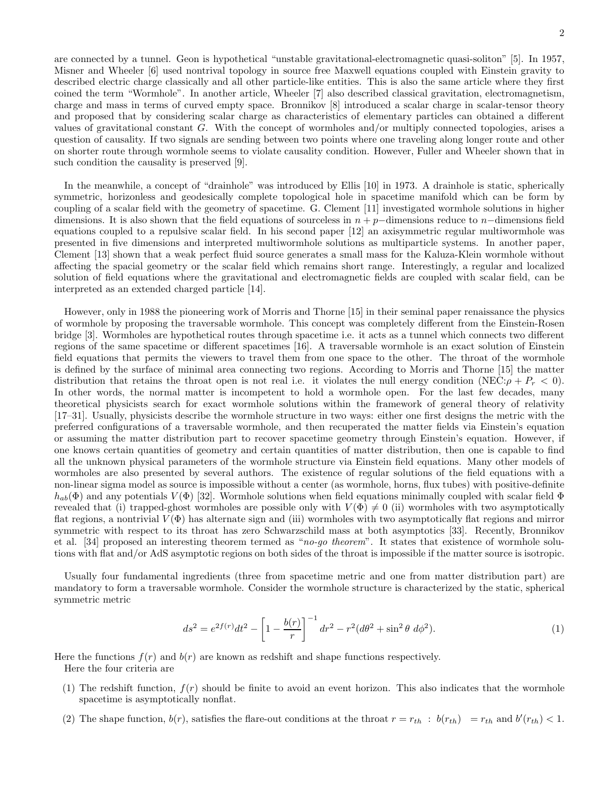are connected by a tunnel. Geon is hypothetical "unstable gravitational-electromagnetic quasi-soliton" [5]. In 1957, Misner and Wheeler [6] used nontrival topology in source free Maxwell equations coupled with Einstein gravity to described electric charge classically and all other particle-like entities. This is also the same article where they first coined the term "Wormhole". In another article, Wheeler [7] also described classical gravitation, electromagnetism, charge and mass in terms of curved empty space. Bronnikov [8] introduced a scalar charge in scalar-tensor theory and proposed that by considering scalar charge as characteristics of elementary particles can obtained a different values of gravitational constant G. With the concept of wormholes and/or multiply connected topologies, arises a question of causality. If two signals are sending between two points where one traveling along longer route and other on shorter route through wormhole seems to violate causality condition. However, Fuller and Wheeler shown that in such condition the causality is preserved [9].

In the meanwhile, a concept of "drainhole" was introduced by Ellis [10] in 1973. A drainhole is static, spherically symmetric, horizonless and geodesically complete topological hole in spacetime manifold which can be form by coupling of a scalar field with the geometry of spacetime. G. Clement [11] investigated wormhole solutions in higher dimensions. It is also shown that the field equations of sourceless in  $n + p$ −dimensions reduce to n−dimensions field equations coupled to a repulsive scalar field. In his second paper [12] an axisymmetric regular multiwormhole was presented in five dimensions and interpreted multiwormhole solutions as multiparticle systems. In another paper, Clement [13] shown that a weak perfect fluid source generates a small mass for the Kaluza-Klein wormhole without affecting the spacial geometry or the scalar field which remains short range. Interestingly, a regular and localized solution of field equations where the gravitational and electromagnetic fields are coupled with scalar field, can be interpreted as an extended charged particle [14].

However, only in 1988 the pioneering work of Morris and Thorne [15] in their seminal paper renaissance the physics of wormhole by proposing the traversable wormhole. This concept was completely different from the Einstein-Rosen bridge [3]. Wormholes are hypothetical routes through spacetime i.e. it acts as a tunnel which connects two different regions of the same spacetime or different spacetimes [16]. A traversable wormhole is an exact solution of Einstein field equations that permits the viewers to travel them from one space to the other. The throat of the wormhole is defined by the surface of minimal area connecting two regions. According to Morris and Thorne [15] the matter distribution that retains the throat open is not real i.e. it violates the null energy condition (NEC: $\rho + P_r < 0$ ). In other words, the normal matter is incompetent to hold a wormhole open. For the last few decades, many theoretical physicists search for exact wormhole solutions within the framework of general theory of relativity [17–31]. Usually, physicists describe the wormhole structure in two ways: either one first designs the metric with the preferred configurations of a traversable wormhole, and then recuperated the matter fields via Einstein's equation or assuming the matter distribution part to recover spacetime geometry through Einstein's equation. However, if one knows certain quantities of geometry and certain quantities of matter distribution, then one is capable to find all the unknown physical parameters of the wormhole structure via Einstein field equations. Many other models of wormholes are also presented by several authors. The existence of regular solutions of the field equations with a non-linear sigma model as source is impossible without a center (as wormhole, horns, flux tubes) with positive-definite  $h_{ab}(\Phi)$  and any potentials  $V(\Phi)$  [32]. Wormhole solutions when field equations minimally coupled with scalar field  $\Phi$ revealed that (i) trapped-ghost wormholes are possible only with  $V(\Phi) \neq 0$  (ii) wormholes with two asymptotically flat regions, a nontrivial  $V(\Phi)$  has alternate sign and (iii) wormholes with two asymptotically flat regions and mirror symmetric with respect to its throat has zero Schwarzschild mass at both asymptotics [33]. Recently, Bronnikov et al. [34] proposed an interesting theorem termed as "no-go theorem". It states that existence of wormhole solutions with flat and/or AdS asymptotic regions on both sides of the throat is impossible if the matter source is isotropic.

Usually four fundamental ingredients (three from spacetime metric and one from matter distribution part) are mandatory to form a traversable wormhole. Consider the wormhole structure is characterized by the static, spherical symmetric metric

$$
ds^{2} = e^{2f(r)}dt^{2} - \left[1 - \frac{b(r)}{r}\right]^{-1}dr^{2} - r^{2}(d\theta^{2} + \sin^{2}\theta \ d\phi^{2}).
$$
\n(1)

Here the functions  $f(r)$  and  $b(r)$  are known as redshift and shape functions respectively. Here the four criteria are

- (1) The redshift function,  $f(r)$  should be finite to avoid an event horizon. This also indicates that the wormhole spacetime is asymptotically nonflat.
- (2) The shape function,  $b(r)$ , satisfies the flare-out conditions at the throat  $r = r_{th}$ :  $b(r_{th}) = r_{th}$  and  $b'(r_{th}) < 1$ .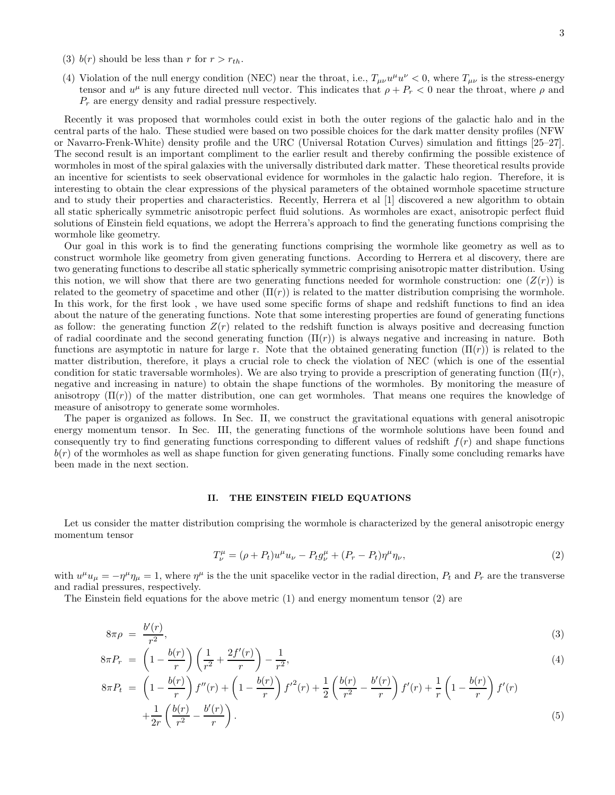- (3)  $b(r)$  should be less than r for  $r > r_{th}$ .
- (4) Violation of the null energy condition (NEC) near the throat, i.e.,  $T_{\mu\nu}u^{\mu}u^{\nu} < 0$ , where  $T_{\mu\nu}$  is the stress-energy tensor and  $u^{\mu}$  is any future directed null vector. This indicates that  $\rho + P_r < 0$  near the throat, where  $\rho$  and  $P<sub>r</sub>$  are energy density and radial pressure respectively.

Recently it was proposed that wormholes could exist in both the outer regions of the galactic halo and in the central parts of the halo. These studied were based on two possible choices for the dark matter density profiles (NFW or Navarro-Frenk-White) density profile and the URC (Universal Rotation Curves) simulation and fittings [25–27]. The second result is an important compliment to the earlier result and thereby confirming the possible existence of wormholes in most of the spiral galaxies with the universally distributed dark matter. These theoretical results provide an incentive for scientists to seek observational evidence for wormholes in the galactic halo region. Therefore, it is interesting to obtain the clear expressions of the physical parameters of the obtained wormhole spacetime structure and to study their properties and characteristics. Recently, Herrera et al [1] discovered a new algorithm to obtain all static spherically symmetric anisotropic perfect fluid solutions. As wormholes are exact, anisotropic perfect fluid solutions of Einstein field equations, we adopt the Herrera's approach to find the generating functions comprising the wormhole like geometry.

Our goal in this work is to find the generating functions comprising the wormhole like geometry as well as to construct wormhole like geometry from given generating functions. According to Herrera et al discovery, there are two generating functions to describe all static spherically symmetric comprising anisotropic matter distribution. Using this notion, we will show that there are two generating functions needed for wormhole construction: one  $(Z(r))$  is related to the geometry of spacetime and other  $(\Pi(r))$  is related to the matter distribution comprising the wormhole. In this work, for the first look , we have used some specific forms of shape and redshift functions to find an idea about the nature of the generating functions. Note that some interesting properties are found of generating functions as follow: the generating function  $Z(r)$  related to the redshift function is always positive and decreasing function of radial coordinate and the second generating function  $(\Pi(r))$  is always negative and increasing in nature. Both functions are asymptotic in nature for large r. Note that the obtained generating function  $(\Pi(r))$  is related to the matter distribution, therefore, it plays a crucial role to check the violation of NEC (which is one of the essential condition for static traversable wormholes). We are also trying to provide a prescription of generating function  $(\Pi(r))$ , negative and increasing in nature) to obtain the shape functions of the wormholes. By monitoring the measure of anisotropy  $(\Pi(r))$  of the matter distribution, one can get wormholes. That means one requires the knowledge of measure of anisotropy to generate some wormholes.

The paper is organized as follows. In Sec. II, we construct the gravitational equations with general anisotropic energy momentum tensor. In Sec. III, the generating functions of the wormhole solutions have been found and consequently try to find generating functions corresponding to different values of redshift  $f(r)$  and shape functions  $b(r)$  of the wormholes as well as shape function for given generating functions. Finally some concluding remarks have been made in the next section.

### II. THE EINSTEIN FIELD EQUATIONS

Let us consider the matter distribution comprising the wormhole is characterized by the general anisotropic energy momentum tensor

$$
T^{\mu}_{\nu} = (\rho + P_t)u^{\mu}u_{\nu} - P_t g^{\mu}_{\nu} + (P_r - P_t)\eta^{\mu}\eta_{\nu},
$$
\n(2)

with  $u^{\mu}u_{\mu} = -\eta^{\mu}\eta_{\mu} = 1$ , where  $\eta^{\mu}$  is the the unit spacelike vector in the radial direction,  $P_t$  and  $P_r$  are the transverse and radial pressures, respectively.

The Einstein field equations for the above metric  $(1)$  and energy momentum tensor  $(2)$  are

$$
8\pi\rho = \frac{b'(r)}{r^2},\tag{3}
$$

$$
8\pi P_r \ = \ \left(1 - \frac{b(r)}{r}\right) \left(\frac{1}{r^2} + \frac{2f'(r)}{r}\right) - \frac{1}{r^2},\tag{4}
$$

$$
8\pi P_t = \left(1 - \frac{b(r)}{r}\right) f''(r) + \left(1 - \frac{b(r)}{r}\right) f'^2(r) + \frac{1}{2} \left(\frac{b(r)}{r^2} - \frac{b'(r)}{r}\right) f'(r) + \frac{1}{r} \left(1 - \frac{b(r)}{r}\right) f'(r) + \frac{1}{2r} \left(\frac{b(r)}{r^2} - \frac{b'(r)}{r}\right).
$$
\n(5)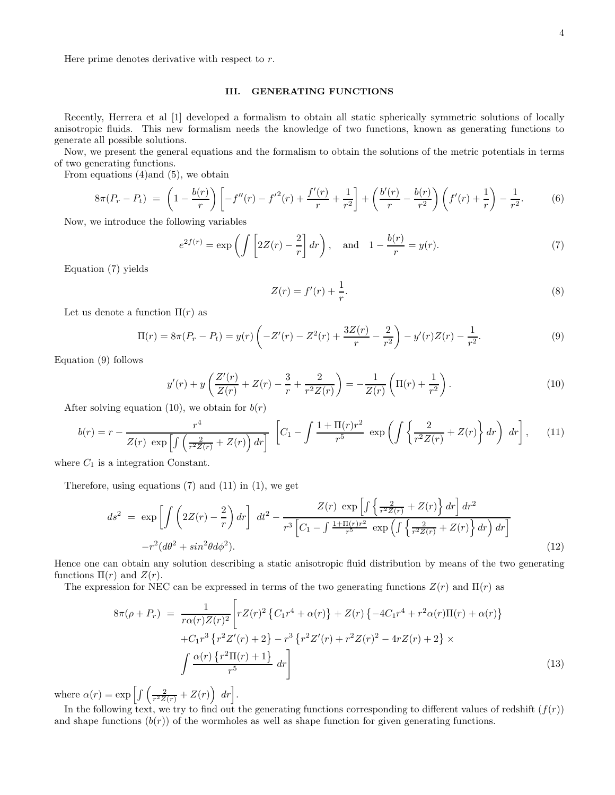Here prime denotes derivative with respect to r.

#### III. GENERATING FUNCTIONS

Recently, Herrera et al [1] developed a formalism to obtain all static spherically symmetric solutions of locally anisotropic fluids. This new formalism needs the knowledge of two functions, known as generating functions to generate all possible solutions.

Now, we present the general equations and the formalism to obtain the solutions of the metric potentials in terms of two generating functions.

From equations  $(4)$  and  $(5)$ , we obtain

$$
8\pi(P_r - P_t) = \left(1 - \frac{b(r)}{r}\right) \left[ -f''(r) - f'^2(r) + \frac{f'(r)}{r} + \frac{1}{r^2} \right] + \left( \frac{b'(r)}{r} - \frac{b(r)}{r^2} \right) \left( f'(r) + \frac{1}{r} \right) - \frac{1}{r^2}.
$$
 (6)

Now, we introduce the following variables

$$
e^{2f(r)} = \exp\left(\int \left[2Z(r) - \frac{2}{r}\right] dr\right), \quad \text{and} \quad 1 - \frac{b(r)}{r} = y(r). \tag{7}
$$

Equation (7) yields

$$
Z(r) = f'(r) + \frac{1}{r}.\tag{8}
$$

Let us denote a function  $\Pi(r)$  as

$$
\Pi(r) = 8\pi (P_r - P_t) = y(r) \left( -Z'(r) - Z^2(r) + \frac{3Z(r)}{r} - \frac{2}{r^2} \right) - y'(r)Z(r) - \frac{1}{r^2}.
$$
\n(9)

Equation (9) follows

$$
y'(r) + y\left(\frac{Z'(r)}{Z(r)} + Z(r) - \frac{3}{r} + \frac{2}{r^2 Z(r)}\right) = -\frac{1}{Z(r)}\left(\Pi(r) + \frac{1}{r^2}\right). \tag{10}
$$

After solving equation (10), we obtain for  $b(r)$ 

$$
b(r) = r - \frac{r^4}{Z(r) \exp\left[\int \left(\frac{2}{r^2 Z(r)} + Z(r)\right) dr\right]} \left[C_1 - \int \frac{1 + \Pi(r)r^2}{r^5} \exp\left(\int \left\{\frac{2}{r^2 Z(r)} + Z(r)\right\} dr\right) dr\right], \quad (11)
$$

where  $C_1$  is a integration Constant.

Therefore, using equations  $(7)$  and  $(11)$  in  $(1)$ , we get

$$
ds^{2} = \exp\left[\int \left(2Z(r) - \frac{2}{r}\right)dr\right] dt^{2} - \frac{Z(r)\exp\left[\int \left\{\frac{2}{r^{2}Z(r)} + Z(r)\right\}dr\right] dr^{2}}{r^{3}\left[C_{1} - \int \frac{1 + \Pi(r)r^{2}}{r^{5}} \exp\left(\int \left\{\frac{2}{r^{2}Z(r)} + Z(r)\right\}dr\right)dr\right]} - r^{2}(d\theta^{2} + \sin^{2}\theta d\phi^{2}).
$$
\n(12)

Hence one can obtain any solution describing a static anisotropic fluid distribution by means of the two generating functions  $\Pi(r)$  and  $Z(r)$ .

The expression for NEC can be expressed in terms of the two generating functions  $Z(r)$  and  $\Pi(r)$  as

$$
8\pi(\rho + P_r) = \frac{1}{r\alpha(r)Z(r)^2} \left[ rZ(r)^2 \left\{ C_1r^4 + \alpha(r) \right\} + Z(r) \left\{ -4C_1r^4 + r^2\alpha(r)\Pi(r) + \alpha(r) \right\} \right. \\ + C_1r^3 \left\{ r^2Z'(r) + 2 \right\} - r^3 \left\{ r^2Z'(r) + r^2Z(r)^2 - 4rZ(r) + 2 \right\} \times \\ \int \frac{\alpha(r)\left\{ r^2\Pi(r) + 1 \right\}}{r^5} dr \right] \tag{13}
$$

where  $\alpha(r) = \exp \left[ \int \left( \frac{2}{r^2 Z(r)} + Z(r) \right) dr \right]$ .

In the following text, we try to find out the generating functions corresponding to different values of redshift  $(f(r))$ and shape functions  $(b(r))$  of the wormholes as well as shape function for given generating functions.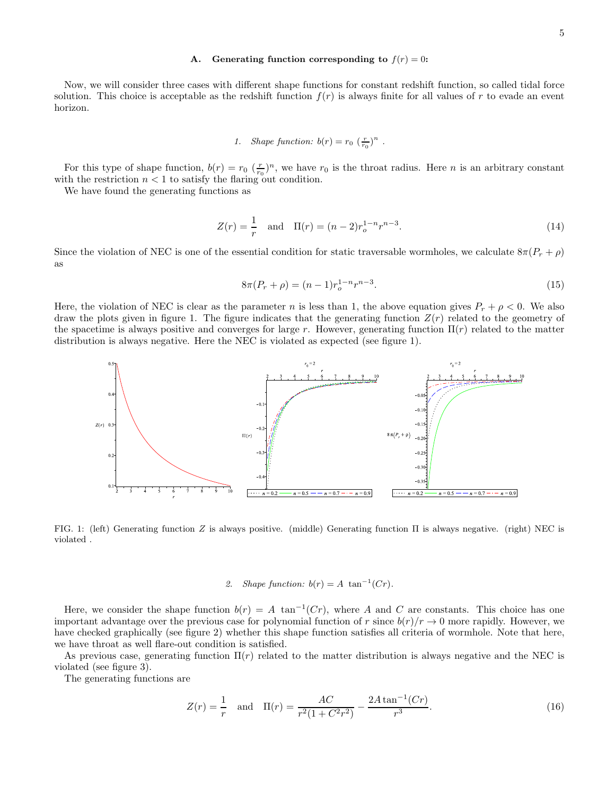# A. Generating function corresponding to  $f(r) = 0$ :

Now, we will consider three cases with different shape functions for constant redshift function, so called tidal force solution. This choice is acceptable as the redshift function  $f(r)$  is always finite for all values of r to evade an event horizon.

# *1. Shape function:*  $b(r) = r_0 \left(\frac{r}{r_0}\right)^n$ .

For this type of shape function,  $b(r) = r_0 \left(\frac{r}{r_0}\right)^n$ , we have  $r_0$  is the throat radius. Here *n* is an arbitrary constant with the restriction  $n < 1$  to satisfy the flaring out condition.

We have found the generating functions as

$$
Z(r) = \frac{1}{r} \quad \text{and} \quad \Pi(r) = (n-2)r_o^{1-n}r^{n-3}.
$$
 (14)

Since the violation of NEC is one of the essential condition for static traversable wormholes, we calculate  $8\pi (P_r + \rho)$ as

$$
8\pi(P_r + \rho) = (n-1)r_o^{1-n}r^{n-3}.
$$
\n(15)

Here, the violation of NEC is clear as the parameter n is less than 1, the above equation gives  $P_r + \rho < 0$ . We also draw the plots given in figure 1. The figure indicates that the generating function  $Z(r)$  related to the geometry of the spacetime is always positive and converges for large r. However, generating function  $\Pi(r)$  related to the matter distribution is always negative. Here the NEC is violated as expected (see figure 1).



FIG. 1: (left) Generating function Z is always positive. (middle) Generating function Π is always negative. (right) NEC is violated .

# 2. Shape function:  $b(r) = A \tan^{-1}(Cr)$ .

Here, we consider the shape function  $b(r) = A \tan^{-1}(Cr)$ , where A and C are constants. This choice has one important advantage over the previous case for polynomial function of r since  $b(r)/r \to 0$  more rapidly. However, we have checked graphically (see figure 2) whether this shape function satisfies all criteria of wormhole. Note that here, we have throat as well flare-out condition is satisfied.

As previous case, generating function  $\Pi(r)$  related to the matter distribution is always negative and the NEC is violated (see figure 3).

The generating functions are

$$
Z(r) = \frac{1}{r} \quad \text{and} \quad \Pi(r) = \frac{AC}{r^2(1 + C^2r^2)} - \frac{2A\tan^{-1}(Cr)}{r^3}.
$$
 (16)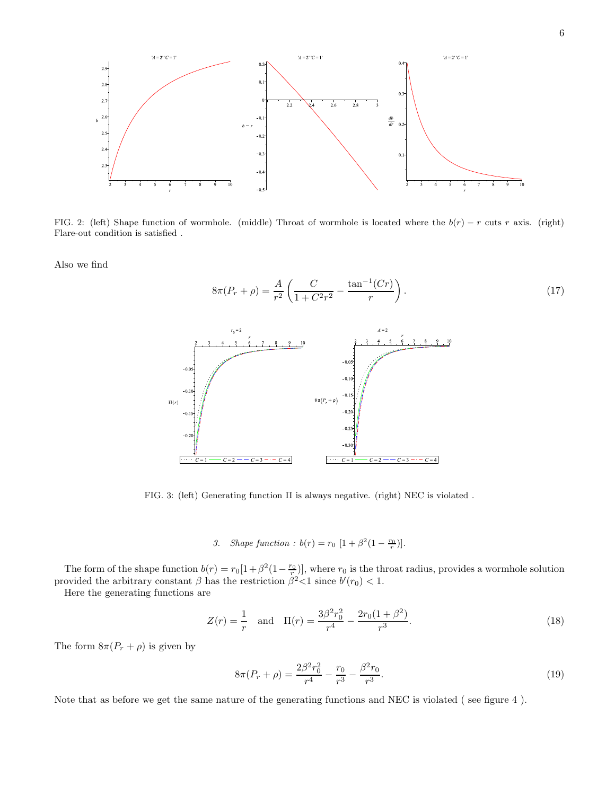

FIG. 2: (left) Shape function of wormhole. (middle) Throat of wormhole is located where the  $b(r) - r$  cuts r axis. (right) Flare-out condition is satisfied .

Also we find

$$
8\pi(P_r + \rho) = \frac{A}{r^2} \left( \frac{C}{1 + C^2 r^2} - \frac{\tan^{-1}(Cr)}{r} \right). \tag{17}
$$



FIG. 3: (left) Generating function Π is always negative. (right) NEC is violated .

# *3. Shape function* :  $b(r) = r_0 \left[1 + \beta^2 (1 - \frac{r_0}{r})\right]$ .

The form of the shape function  $b(r) = r_0[1+\beta^2(1-\frac{r_0}{r_0})]$ , where  $r_0$  is the throat radius, provides a wormhole solution provided the arbitrary constant  $\beta$  has the restriction  $\beta^2 < 1$  since  $b'(r_0) < 1$ .

Here the generating functions are

$$
Z(r) = \frac{1}{r} \quad \text{and} \quad \Pi(r) = \frac{3\beta^2 r_0^2}{r^4} - \frac{2r_0(1+\beta^2)}{r^3}.
$$
 (18)

The form  $8\pi(P_r + \rho)$  is given by

$$
8\pi (P_r + \rho) = \frac{2\beta^2 r_0^2}{r^4} - \frac{r_0}{r^3} - \frac{\beta^2 r_0}{r^3}.
$$
\n(19)

Note that as before we get the same nature of the generating functions and NEC is violated ( see figure 4 ).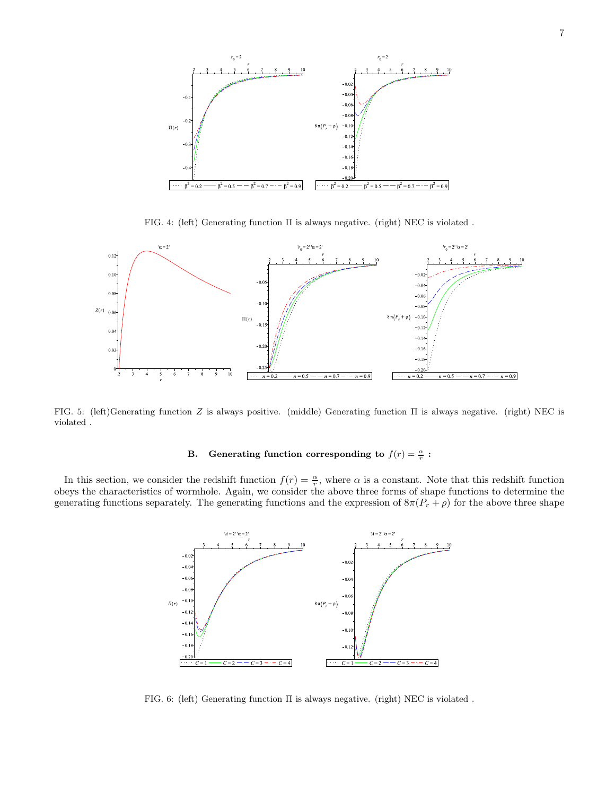

FIG. 4: (left) Generating function Π is always negative. (right) NEC is violated .



FIG. 5: (left)Generating function Z is always positive. (middle) Generating function Π is always negative. (right) NEC is violated .

# B. Generating function corresponding to  $f(r) = \frac{\alpha}{r}$ :

In this section, we consider the redshift function  $f(r) = \frac{\alpha}{r}$ , where  $\alpha$  is a constant. Note that this redshift function obeys the characteristics of wormhole. Again, we consider the above three forms of shape functions to determine the generating functions separately. The generating functions and the expression of  $8\pi(P_r + \rho)$  for the above three shape



FIG. 6: (left) Generating function  $\Pi$  is always negative. (right) NEC is violated .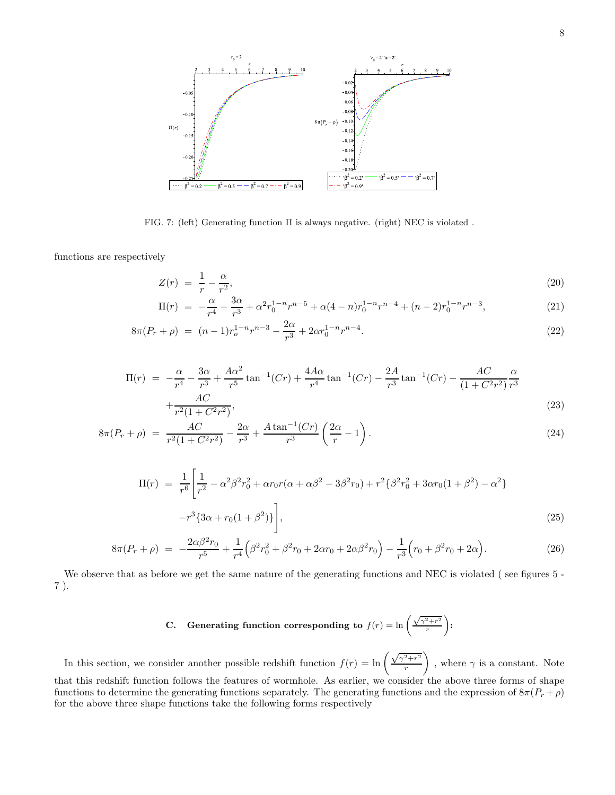

FIG. 7: (left) Generating function Π is always negative. (right) NEC is violated .

functions are respectively

$$
Z(r) = \frac{1}{r} - \frac{\alpha}{r^2},\tag{20}
$$

$$
\Pi(r) = -\frac{\alpha}{r^4} - \frac{3\alpha}{r^3} + \alpha^2 r_0^{1-n} r^{n-5} + \alpha (4-n) r_0^{1-n} r^{n-4} + (n-2) r_0^{1-n} r^{n-3},\tag{21}
$$

$$
8\pi (P_r + \rho) = (n-1)r_o^{1-n}r^{n-3} - \frac{2\alpha}{r^3} + 2\alpha r_o^{1-n}r^{n-4}.
$$
\n(22)

$$
\Pi(r) = -\frac{\alpha}{r^4} - \frac{3\alpha}{r^3} + \frac{A\alpha^2}{r^5} \tan^{-1}(Cr) + \frac{4A\alpha}{r^4} \tan^{-1}(Cr) - \frac{2A}{r^3} \tan^{-1}(Cr) - \frac{AC}{(1 + C^2 r^2)} \frac{\alpha}{r^3} + \frac{AC}{r^2(1 + C^2 r^2)},
$$
\n(23)

$$
8\pi (P_r + \rho) = \frac{AC}{r^2 (1 + C^2 r^2)} - \frac{2\alpha}{r^3} + \frac{A \tan^{-1} (Cr)}{r^3} \left(\frac{2\alpha}{r} - 1\right). \tag{24}
$$

$$
\Pi(r) = \frac{1}{r^6} \left[ \frac{1}{r^2} - \alpha^2 \beta^2 r_0^2 + \alpha r_0 r (\alpha + \alpha \beta^2 - 3\beta^2 r_0) + r^2 {\beta^2 r_0^2 + 3\alpha r_0 (1 + \beta^2) - \alpha^2} \right]
$$
  

$$
-r^3 \{3\alpha + r_0 (1 + \beta^2) \} \bigg],
$$
 (25)

$$
8\pi(P_r + \rho) = -\frac{2\alpha\beta^2 r_0}{r^5} + \frac{1}{r^4} \left(\beta^2 r_0^2 + \beta^2 r_0 + 2\alpha r_0 + 2\alpha\beta^2 r_0\right) - \frac{1}{r^3} \left(r_0 + \beta^2 r_0 + 2\alpha\right). \tag{26}
$$

We observe that as before we get the same nature of the generating functions and NEC is violated ( see figures 5 - 7 ).

#### C. Generating function corresponding to  $f(r) = \ln \left( \frac{\sqrt{\gamma^2 + r^2}}{r} \right)$ r  $\big).$

In this section, we consider another possible redshift function  $f(r) = \ln \left( \frac{\sqrt{\gamma^2 + r^2}}{r} \right)$ r ), where  $\gamma$  is a constant. Note that this redshift function follows the features of wormhole. As earlier, we consider the above three forms of shape functions to determine the generating functions separately. The generating functions and the expression of  $8\pi(P_r + \rho)$ for the above three shape functions take the following forms respectively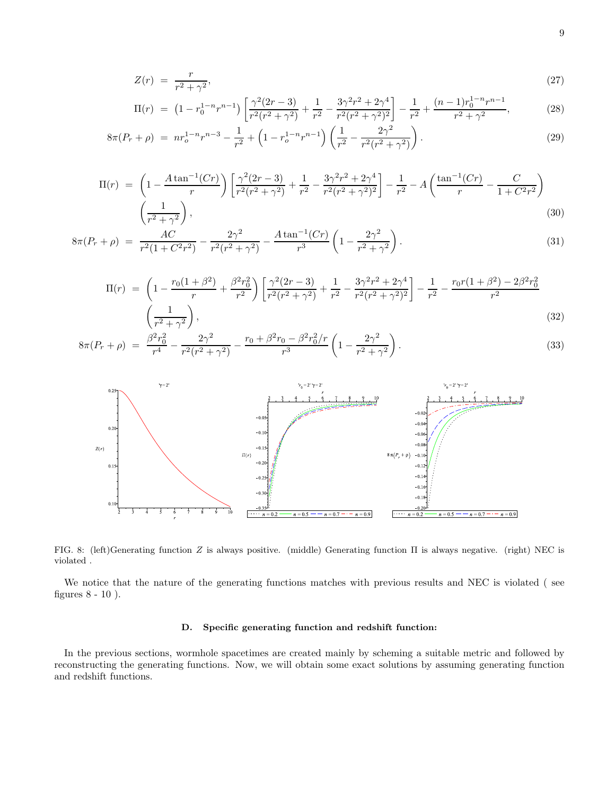$$
Z(r) = \frac{r}{r^2 + \gamma^2},\tag{27}
$$

$$
\Pi(r) = \left(1 - r_0^{1-n} r^{n-1}\right) \left[ \frac{\gamma^2 (2r-3)}{r^2 (r^2 + \gamma^2)} + \frac{1}{r^2} - \frac{3\gamma^2 r^2 + 2\gamma^4}{r^2 (r^2 + \gamma^2)^2} \right] - \frac{1}{r^2} + \frac{(n-1)r_0^{1-n} r^{n-1}}{r^2 + \gamma^2},\tag{28}
$$

$$
8\pi(P_r + \rho) = nr_o^{1-n}r^{n-3} - \frac{1}{r^2} + \left(1 - r_o^{1-n}r^{n-1}\right)\left(\frac{1}{r^2} - \frac{2\gamma^2}{r^2(r^2 + \gamma^2)}\right). \tag{29}
$$

$$
\Pi(r) = \left(1 - \frac{A \tan^{-1}(Cr)}{r}\right) \left[\frac{\gamma^2(2r-3)}{r^2(r^2+\gamma^2)} + \frac{1}{r^2} - \frac{3\gamma^2r^2 + 2\gamma^4}{r^2(r^2+\gamma^2)^2}\right] - \frac{1}{r^2} - A\left(\frac{\tan^{-1}(Cr)}{r} - \frac{C}{1+C^2r^2}\right) \left(\frac{1}{r^2+\gamma^2}\right),\tag{30}
$$

$$
8\pi (P_r + \rho) = \frac{AC}{r^2 (1 + C^2 r^2)} - \frac{2\gamma^2}{r^2 (r^2 + \gamma^2)} - \frac{A \tan^{-1} (Cr)}{r^3} \left(1 - \frac{2\gamma^2}{r^2 + \gamma^2}\right). \tag{31}
$$

$$
\Pi(r) = \left(1 - \frac{r_0(1+\beta^2)}{r} + \frac{\beta^2 r_0^2}{r^2}\right) \left[\frac{\gamma^2(2r-3)}{r^2(r^2+\gamma^2)} + \frac{1}{r^2} - \frac{3\gamma^2 r^2 + 2\gamma^4}{r^2(r^2+\gamma^2)^2}\right] - \frac{1}{r^2} - \frac{r_0r(1+\beta^2) - 2\beta^2 r_0^2}{r^2} \left(\frac{1}{r^2+\gamma^2}\right),\tag{32}
$$

$$
8\pi (P_r + \rho) = \frac{\beta^2 r_0^2}{r^4} - \frac{2\gamma^2}{r^2 (r^2 + \gamma^2)} - \frac{r_0 + \beta^2 r_0 - \beta^2 r_0^2 / r}{r^3} \left(1 - \frac{2\gamma^2}{r^2 + \gamma^2}\right). \tag{33}
$$



FIG. 8: (left)Generating function Z is always positive. (middle) Generating function Π is always negative. (right) NEC is violated .

We notice that the nature of the generating functions matches with previous results and NEC is violated ( see figures  $8 - 10$  ).

# D. Specific generating function and redshift function:

In the previous sections, wormhole spacetimes are created mainly by scheming a suitable metric and followed by reconstructing the generating functions. Now, we will obtain some exact solutions by assuming generating function and redshift functions.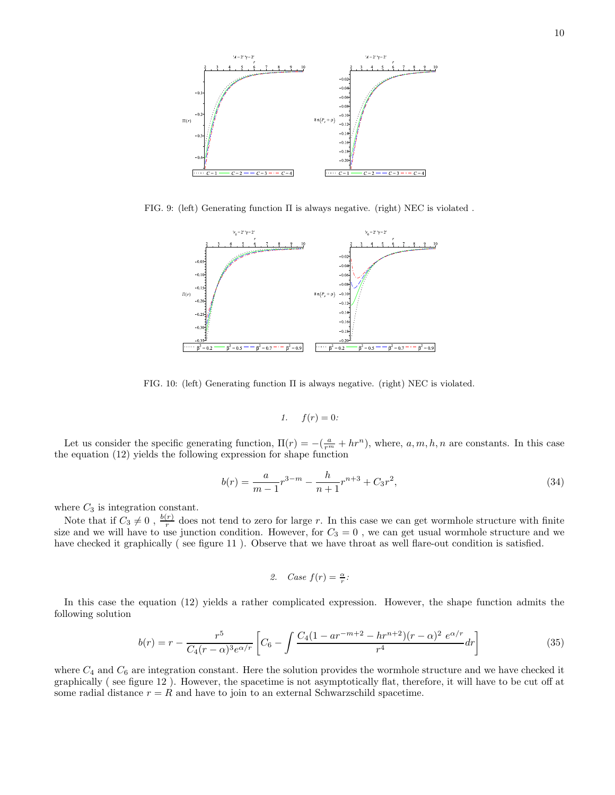

FIG. 9: (left) Generating function  $\Pi$  is always negative. (right) NEC is violated.



FIG. 10: (left) Generating function  $\Pi$  is always negative. (right) NEC is violated.

1. 
$$
f(r) = 0
$$
:

Let us consider the specific generating function,  $\Pi(r) = -(\frac{a}{r^m} + hr^n)$ , where,  $a, m, h, n$  are constants. In this case the equation (12) yields the following expression for shape function

$$
b(r) = \frac{a}{m-1}r^{3-m} - \frac{h}{n+1}r^{n+3} + C_3r^2,
$$
\n(34)

where  $C_3$  is integration constant.

Note that if  $C_3 \neq 0$ ,  $\frac{b(r)}{r}$  does not tend to zero for large r. In this case we can get wormhole structure with finite size and we will have to use junction condition. However, for  $C_3 = 0$ , we can get usual wormhole structure and we have checked it graphically ( see figure 11 ). Observe that we have throat as well flare-out condition is satisfied.

2. Case 
$$
f(r) = \frac{\alpha}{r}
$$
:

In this case the equation (12) yields a rather complicated expression. However, the shape function admits the following solution

$$
b(r) = r - \frac{r^5}{C_4(r-\alpha)^3 e^{\alpha/r}} \left[ C_6 - \int \frac{C_4(1 - ar^{-m+2} - hr^{n+2})(r-\alpha)^2 e^{\alpha/r}}{r^4} dr \right]
$$
(35)

where  $C_4$  and  $C_6$  are integration constant. Here the solution provides the wormhole structure and we have checked it graphically ( see figure 12 ). However, the spacetime is not asymptotically flat, therefore, it will have to be cut off at some radial distance  $r = R$  and have to join to an external Schwarzschild spacetime.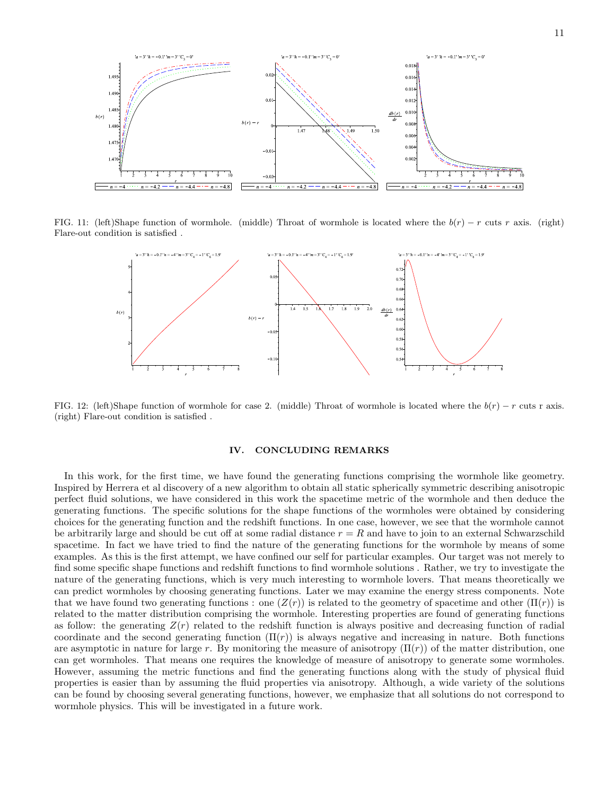

FIG. 11: (left)Shape function of wormhole. (middle) Throat of wormhole is located where the  $b(r) - r$  cuts r axis. (right) Flare-out condition is satisfied .



FIG. 12: (left)Shape function of wormhole for case 2. (middle) Throat of wormhole is located where the  $b(r) - r$  cuts r axis. (right) Flare-out condition is satisfied .

#### IV. CONCLUDING REMARKS

In this work, for the first time, we have found the generating functions comprising the wormhole like geometry. Inspired by Herrera et al discovery of a new algorithm to obtain all static spherically symmetric describing anisotropic perfect fluid solutions, we have considered in this work the spacetime metric of the wormhole and then deduce the generating functions. The specific solutions for the shape functions of the wormholes were obtained by considering choices for the generating function and the redshift functions. In one case, however, we see that the wormhole cannot be arbitrarily large and should be cut off at some radial distance  $r = R$  and have to join to an external Schwarzschild spacetime. In fact we have tried to find the nature of the generating functions for the wormhole by means of some examples. As this is the first attempt, we have confined our self for particular examples. Our target was not merely to find some specific shape functions and redshift functions to find wormhole solutions . Rather, we try to investigate the nature of the generating functions, which is very much interesting to wormhole lovers. That means theoretically we can predict wormholes by choosing generating functions. Later we may examine the energy stress components. Note that we have found two generating functions: one  $(Z(r))$  is related to the geometry of spacetime and other  $(\Pi(r))$  is related to the matter distribution comprising the wormhole. Interesting properties are found of generating functions as follow: the generating  $Z(r)$  related to the redshift function is always positive and decreasing function of radial coordinate and the second generating function  $(\Pi(r))$  is always negative and increasing in nature. Both functions are asymptotic in nature for large r. By monitoring the measure of anisotropy  $(\Pi(r))$  of the matter distribution, one can get wormholes. That means one requires the knowledge of measure of anisotropy to generate some wormholes. However, assuming the metric functions and find the generating functions along with the study of physical fluid properties is easier than by assuming the fluid properties via anisotropy. Although, a wide variety of the solutions can be found by choosing several generating functions, however, we emphasize that all solutions do not correspond to wormhole physics. This will be investigated in a future work.